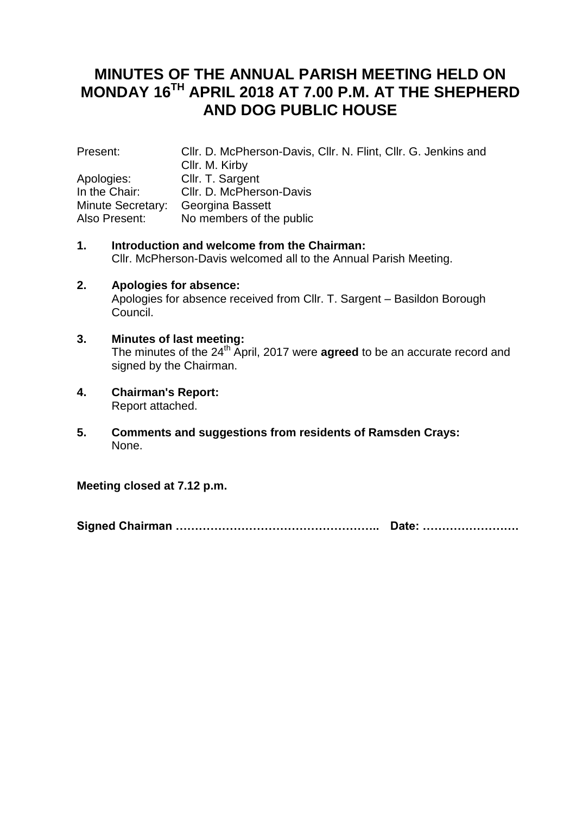# **MINUTES OF THE ANNUAL PARISH MEETING HELD ON MONDAY 16TH APRIL 2018 AT 7.00 P.M. AT THE SHEPHERD AND DOG PUBLIC HOUSE**

| Present:          | Cllr. D. McPherson-Davis, Cllr. N. Flint, Cllr. G. Jenkins and |
|-------------------|----------------------------------------------------------------|
|                   | Cllr. M. Kirby                                                 |
| Apologies:        | Cllr. T. Sargent                                               |
| In the Chair:     | Cllr. D. McPherson-Davis                                       |
| Minute Secretary: | Georgina Bassett                                               |
| Also Present:     | No members of the public                                       |

- **1. Introduction and welcome from the Chairman:** Cllr. McPherson-Davis welcomed all to the Annual Parish Meeting.
- **2. Apologies for absence:** Apologies for absence received from Cllr. T. Sargent – Basildon Borough Council.
- **3. Minutes of last meeting:** The minutes of the 24<sup>th</sup> April, 2017 were **agreed** to be an accurate record and signed by the Chairman.
- **4. Chairman's Report:** Report attached.
- **5. Comments and suggestions from residents of Ramsden Crays:** None.

**Meeting closed at 7.12 p.m.**

**Signed Chairman …………………………………………….. Date: …………………….**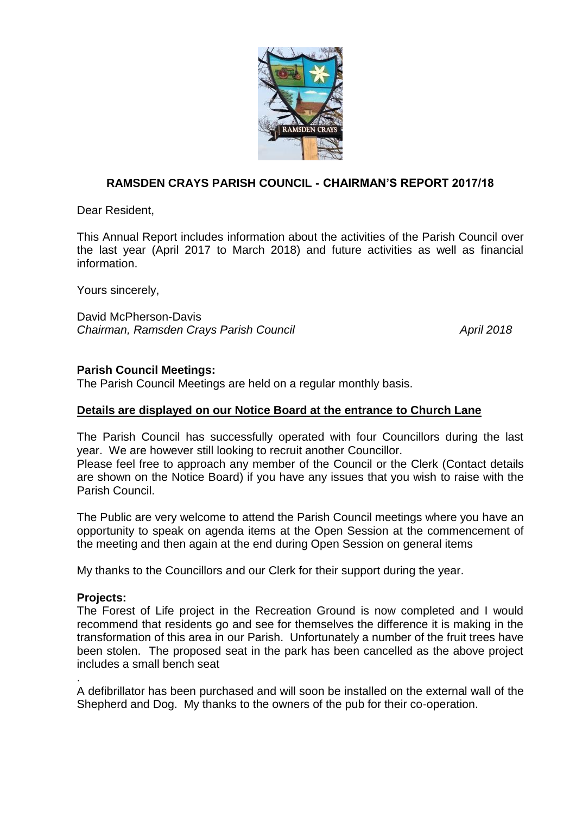

# **RAMSDEN CRAYS PARISH COUNCIL - CHAIRMAN'S REPORT 2017/18**

Dear Resident,

This Annual Report includes information about the activities of the Parish Council over the last year (April 2017 to March 2018) and future activities as well as financial information.

Yours sincerely,

David McPherson-Davis *Chairman, Ramsden Crays Parish Council April 2018*

## **Parish Council Meetings:**

The Parish Council Meetings are held on a regular monthly basis.

## **Details are displayed on our Notice Board at the entrance to Church Lane**

The Parish Council has successfully operated with four Councillors during the last year. We are however still looking to recruit another Councillor.

Please feel free to approach any member of the Council or the Clerk (Contact details are shown on the Notice Board) if you have any issues that you wish to raise with the Parish Council.

The Public are very welcome to attend the Parish Council meetings where you have an opportunity to speak on agenda items at the Open Session at the commencement of the meeting and then again at the end during Open Session on general items

My thanks to the Councillors and our Clerk for their support during the year.

#### **Projects:**

.

The Forest of Life project in the Recreation Ground is now completed and I would recommend that residents go and see for themselves the difference it is making in the transformation of this area in our Parish. Unfortunately a number of the fruit trees have been stolen. The proposed seat in the park has been cancelled as the above project includes a small bench seat

A defibrillator has been purchased and will soon be installed on the external wall of the Shepherd and Dog. My thanks to the owners of the pub for their co-operation.